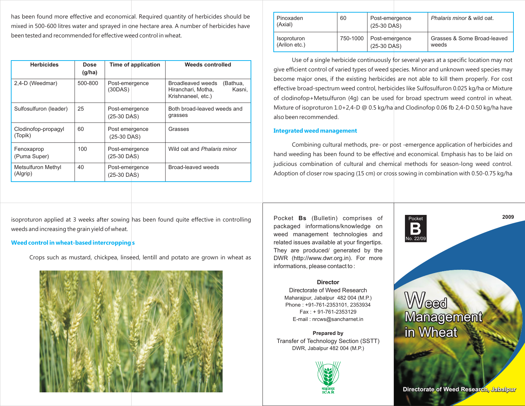has been found more effective and economical. Required quantity of herbicides should be mixed in 500-600 litres water and sprayed in one hectare area. A number of herbicides have been tested and recommended for effective weed control in wheat.

**Promising herbicides for weed control in wheat.**

| <b>Herbicides</b>              | <b>Dose</b><br>(g/ha) |                                 | Time of application | Weeds controlled                                                                    |  |
|--------------------------------|-----------------------|---------------------------------|---------------------|-------------------------------------------------------------------------------------|--|
| 2,4-D (Weedmar)                | 500-800               | Post-emergence<br>(30DAS)       |                     | Broadleaved weeds<br>(Bathua,<br>Kasni.<br>Hiranchari, Motha,<br>Krishnaneel, etc.) |  |
| Sulfosulfuron (leader)         | 25                    | Post-emergence<br>$(25-30$ DAS) |                     | Both broad-leaved weeds and<br>grasses                                              |  |
| Clodinofop-propagyl<br>(Topik) | 60                    | Post emergence<br>$(25-30$ DAS) |                     | Grasses                                                                             |  |
| Fenoxaprop<br>(Puma Super)     | 100                   | Post-emergence<br>$(25-30$ DAS) |                     | Wild oat and Phalaris minor                                                         |  |
| Metsulfuron Methyl<br>(Algrip) | 40                    | Post-emergence<br>$(25-30$ DAS) |                     | Broad-leaved weeds                                                                  |  |

**2009** isoproturon applied at 3 weeks after sowing has been found quite effective in controlling Pocket Bs (Bulletin) comprises of Pocket Postet Postet Postet Postet Postet Postet Postet Postet Postet Postet Postet Postet weeds and increasing the grain yield of wheat.

## **Weed control in wheat-based intercroppings**

Crops such as mustard, chickpea, linseed, lentill and potato are grown in wheat as



| Pinoxaden<br>(Axial) | 60       | Post-emergence<br>$(25-30$ DAS) | Phalaris minor & wild oat.  |
|----------------------|----------|---------------------------------|-----------------------------|
| <b>Isoproturon</b>   | 750-1000 | Post-emergence                  | Grasses & Some Broad-leaved |
| (Arilon etc.)        |          | $(25-30$ DAS)                   | weeds                       |

Use of a single herbicide continuously for several years at a specific location may not give efficient control of varied types of weed species. Minor and unknown weed species may become major ones, if the existing herbicides are not able to kill them properly. For cost effective broad-spectrum weed control, herbicides like Sulfosulfuron 0.025 kg/ha or Mixture of clodinofop+Metsulfuron (4g) can be used for broad spectrum weed control in wheat. Mixture of isoproturon 1.0+2,4-D @ 0.5 kg/ha and Clodinofop 0.06 fb 2,4-D 0.50 kg/ha have also been recommended.

# **Integrated weed management**

Combining cultural methods, pre- or post -emergence application of herbicides and hand weeding has been found to be effective and economical. Emphasis has to be laid on judicious combination of cultural and chemical methods for season-long weed control. Adoption of closer row spacing (15 cm) or cross sowing in combination with 0.50-0.75 kg/ha

Pocket

No. 22/09

Pocket **Bs** (Bulletin) comprises of packaged informations/knowledge on weed management technologies and related issues available at your fingertips. They are produced/ generated by the DWR (http://www.dwr.org.in). For more informations, please contact to :

# **Director**

Directorate of Weed Research Maharajpur, Jabalpur 482 004 (M.P.) Phone : +91-761-2353101, 2353934 Fax : + 91-761-2353129 E-mail : nrcws@sancharnet.in

**Prepared by** Transfer of Technology Section (SSTT) DWR, Jabalpur 482 004 (M.P.)





**Directorate of Weed Research, Jabalpur**